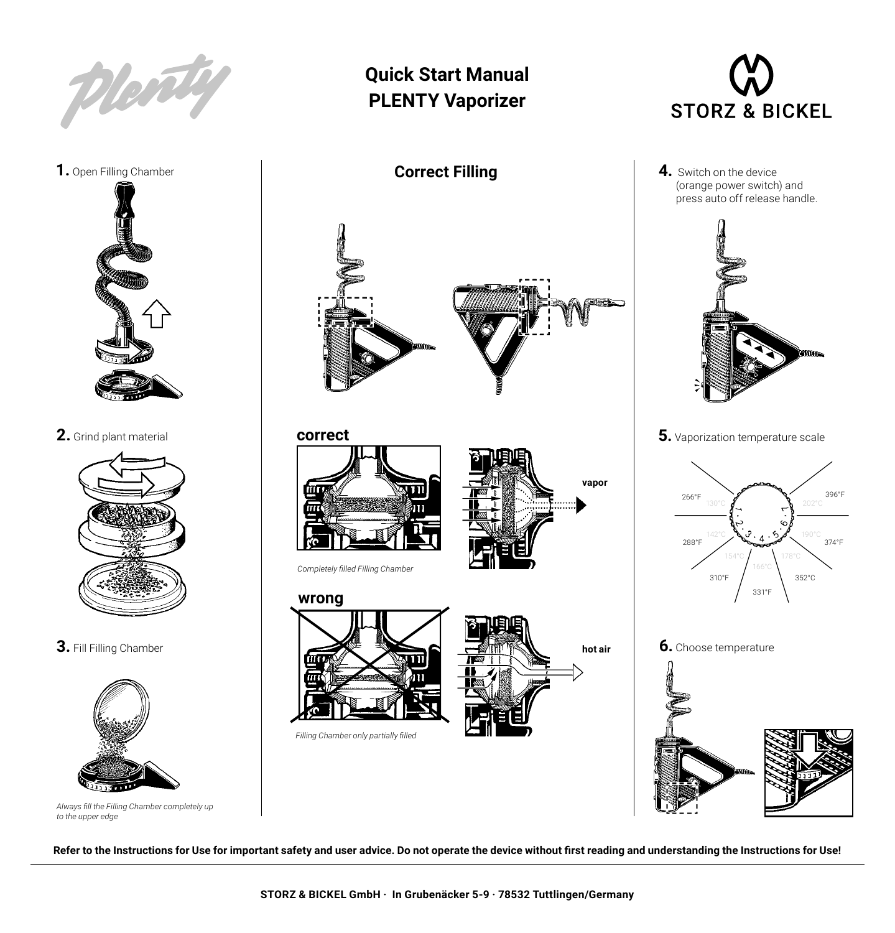

**1.** Open Filling Chamber



**2.** Grind plant material



**3.** Fill Filling Chamber



*Always fill the Filling Chamber completely up to the upper edge* 

## **Quick Start Manual PLENTY Vaporizer**



*Completely filled Filling Chamber* 



**hot air** 



**4.** Switch on the device (orange power switch) and press auto off release handle.



**5.** Vaporization temperature scale



**Refer to the Instructions for Use for important safety and user advice. Do not operate the device without first reading and understanding the Instructions for Use!**